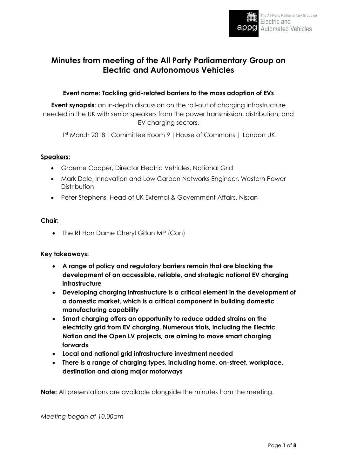

# **Minutes from meeting of the All Party Parliamentary Group on Electric and Autonomous Vehicles**

# **Event name: Tackling grid-related barriers to the mass adoption of EVs**

**Event synopsis**: an in-depth discussion on the roll-out of charging infrastructure needed in the UK with senior speakers from the power transmission, distribution, and EV charging sectors.

1st March 2018 |Committee Room 9 |House of Commons | London UK

## **Speakers:**

- Graeme Cooper, Director Electric Vehicles, National Grid
- Mark Dale, Innovation and Low Carbon Networks Engineer, Western Power **Distribution**
- Peter Stephens, Head of UK External & Government Affairs, Nissan

# **Chair:**

• The Rt Hon Dame Cheryl Gillan MP (Con)

# **Key takeaways:**

- **A range of policy and regulatory barriers remain that are blocking the development of an accessible, reliable, and strategic national EV charging infrastructure**
- **Developing charging infrastructure is a critical element in the development of a domestic market, which is a critical component in building domestic manufacturing capability**
- **Smart charging offers an opportunity to reduce added strains on the electricity grid from EV charging. Numerous trials, including the Electric Nation and the Open LV projects, are aiming to move smart charging forwards**
- **Local and national grid infrastructure investment needed**
- **There is a range of charging types, including home, on-street, workplace, destination and along major motorways**

**Note:** All presentations are available alongside the minutes from the meeting.

*Meeting began at 10.00am*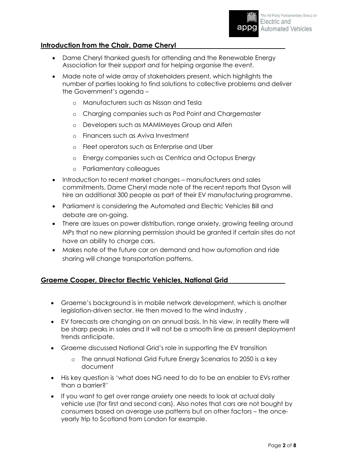# **Introduction from the Chair, Dame Cheryl**

- Dame Cheryl thanked guests for attending and the Renewable Energy Association for their support and for helping organise the event.
- Made note of wide array of stakeholders present, which highlights the number of parties looking to find solutions to collective problems and deliver the Government's agenda –
	- o Manufacturers such as Nissan and Tesla
	- o Charging companies such as Pod Point and Chargemaster
	- o Developers such as MAMIMeyes Group and Alfen
	- o Financers such as Aviva Investment
	- o Fleet operators such as Enterprise and Uber
	- o Energy companies such as Centrica and Octopus Energy
	- o Parliamentary colleagues
- Introduction to recent market changes manufacturers and sales commitments. Dame Cheryl made note of the recent reports that Dyson will hire an additional 300 people as part of their EV manufacturing programme.
- Parliament is considering the Automated and Electric Vehicles Bill and debate are on-going.
- There are issues on power distribution, range anxiety, growing feeling around MPs that no new planning permission should be granted if certain sites do not have an ability to charge cars.
- Makes note of the future car on demand and how automation and ride sharing will change transportation patterns.

# **Graeme Cooper, Director Electric Vehicles, National Grid**

- Graeme's background is in mobile network development, which is another legislation-driven sector. He then moved to the wind industry .
- EV forecasts are changing on an annual basis. In his view, in reality there will be sharp peaks in sales and it will not be a smooth line as present deployment trends anticipate.
- Graeme discussed National Grid's role in supporting the EV transition
	- o The annual National Grid Future Energy Scenarios to 2050 is a key document
- His key question is 'what does NG need to do to be an enabler to EVs rather than a barrier?'
- If you want to get over range anxiety one needs to look at actual daily vehicle use (for first and second cars). Also notes that cars are not bought by consumers based on average use patterns but on other factors – the onceyearly trip to Scotland from London for example.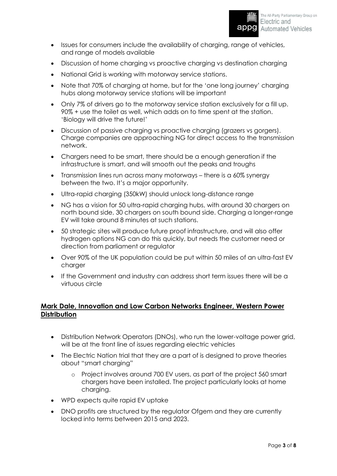

- Issues for consumers include the availability of charging, range of vehicles, and range of models available
- Discussion of home charging vs proactive charging vs destination charging
- National Grid is working with motorway service stations.
- Note that 70% of charging at home, but for the 'one long journey' charging hubs along motorway service stations will be important
- Only 7% of drivers go to the motorway service station exclusively for a fill up. 90% + use the toilet as well, which adds on to time spent at the station. 'Biology will drive the future!'
- Discussion of passive charging vs proactive charging (grazers vs gorgers). Charge companies are approaching NG for direct access to the transmission network.
- Chargers need to be smart, there should be a enough generation if the infrastructure is smart, and will smooth out the peaks and troughs
- Transmission lines run across many motorways there is a 60% synergy between the two. It's a major opportunity.
- Ultra-rapid charging (350kW) should unlock long-distance range
- NG has a vision for 50 ultra-rapid charging hubs, with around 30 chargers on north bound side, 30 chargers on south bound side. Charging a longer-range EV will take around 8 minutes at such stations.
- 50 strategic sites will produce future proof infrastructure, and will also offer hydrogen options NG can do this quickly, but needs the customer need or direction from parliament or regulator
- Over 90% of the UK population could be put within 50 miles of an ultra-fast EV charger
- If the Government and industry can address short term issues there will be a virtuous circle

# **Mark Dale, Innovation and Low Carbon Networks Engineer, Western Power Distribution**

- Distribution Network Operators (DNOs), who run the lower-voltage power grid, will be at the front line of issues regarding electric vehicles
- The Electric Nation trial that they are a part of is designed to prove theories about "smart charging"
	- o Project involves around 700 EV users, as part of the project 560 smart chargers have been installed. The project particularly looks at home charging.
- WPD expects quite rapid EV uptake
- DNO profits are structured by the regulator Ofgem and they are currently locked into terms between 2015 and 2023.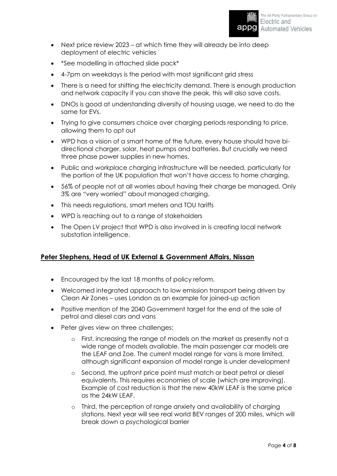- Next price review 2023 at which time they will already be into deep deployment of electric vehicles
- \*See modelling in attached slide pack\*
- 4-7pm on weekdays is the period with most significant grid stress
- There is a need for shifting the electricity demand. There is enough production and network capacity if you can shave the peak, this will also save costs.
- DNOs is good at understanding diversity of housing usage, we need to do the same for EVs.
- Trying to give consumers choice over charging periods responding to price, allowing them to opt out
- WPD has a vision of a smart home of the future, every house should have bidirectional charger, solar, heat pumps and batteries. But crucially we need three phase power supplies in new homes.
- Public and workplace charging infrastructure will be needed, particularly for the portion of the UK population that won't have access to home charging.
- 56% of people not at all worries about having their charge be managed. Only 3% are "very worried" about managed charging.
- This needs regulations, smart meters and TOU tariffs
- WPD is reaching out to a range of stakeholders
- The Open LV project that WPD is also involved in is creating local network substation intelligence.

# **Peter Stephens, Head of UK External & Government Affairs, Nissan**

- Encouraged by the last 18 months of policy reform.
- Welcomed integrated approach to low emission transport being driven by Clean Air Zones – uses London as an example for joined-up action
- Positive mention of the 2040 Government target for the end of the sale of petrol and diesel cars and vans
- Peter gives view on three challenges:
	- o First, increasing the range of models on the market as presently not a wide range of models available. The main passenger car models are the LEAF and Zoe. The current model range for vans is more limited, although significant expansion of model range is under development
	- Second, the upfront price point must match or beat petrol or diesel equivalents. This requires economies of scale (which are improving). Example of cost reduction is that the new 40kW LEAF is the same price as the 24kW LEAF.
	- o Third, the perception of range anxiety and availability of charging stations. Next year will see real world BEV ranges of 200 miles, which will break down a psychological barrier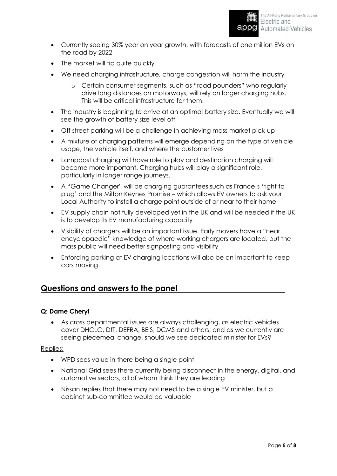

- Currently seeing 30% year on year growth, with forecasts of one million EVs on the road by 2022
- The market will tip quite quickly
- We need charging infrastructure, charge congestion will harm the industry
	- o Certain consumer segments, such as "road pounders" who regularly drive long distances on motorways, will rely on larger charging hubs. This will be critical infrastructure for them.
- The industry is beginning to arrive at an optimal battery size. Eventually we will see the growth of battery size level off
- Off street parking will be a challenge in achieving mass market pick-up
- A mixture of charging patterns will emerge depending on the type of vehicle usage, the vehicle itself, and where the customer lives
- Lamppost charging will have role to play and destination charging will become more important. Charging hubs will play a significant role, particularly in longer range journeys.
- A "Game Changer" will be charging guarantees such as France's 'right to plug' and the Milton Keynes Promise – which allows EV owners to ask your Local Authority to install a charge point outside of or near to their home
- EV supply chain not fully developed yet in the UK and will be needed if the UK is to develop its EV manufacturing capacity
- Visibility of chargers will be an important issue. Early movers have a "near encyclopaedic" knowledge of where working chargers are located, but the mass public will need better signposting and visibility
- Enforcing parking at EV charging locations will also be an important to keep cars moving

# **Questions and answers to the panel**

# **Q: Dame Cheryl**

 As cross departmental issues are always challenging, as electric vehicles cover DHCLG, DfT, DEFRA, BEIS, DCMS and others, and as we currently are seeing piecemeal change, should we see dedicated minister for EVs?

#### Replies:

- WPD sees value in there being a single point
- National Grid sees there currently being disconnect in the energy, digital, and automotive sectors, all of whom think they are leading
- Nissan replies that there may not need to be a single EV minister, but a cabinet sub-committee would be valuable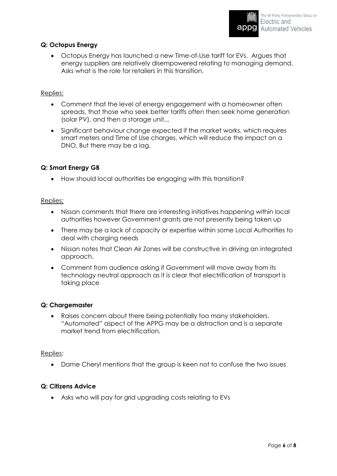# **Q: Octopus Energy**

 Octopus Energy has launched a new Time-of-Use tariff for EVs. Argues that energy suppliers are relatively disempowered relating to managing demand. Asks what is the role for retailers in this transition.

## Replies:

- Comment that the level of energy engagement with a homeowner often spreads, that those who seek better tariffs often then seek home generation (solar PV), and then a storage unit...
- Significant behaviour change expected if the market works, which requires smart meters and Time of Use charges, which will reduce the impact on a DNO. But there may be a lag.

## **Q: Smart Energy GB**

How should local authorities be engaging with this transition?

#### Replies:

- Nissan comments that there are interesting initiatives happening within local authorities however Government grants are not presently being taken up
- There may be a lack of capacity or expertise within some Local Authorities to deal with charging needs
- Nissan notes that Clean Air Zones will be constructive in driving an integrated approach.
- Comment from audience asking if Government will move away from its technology neutral approach as it is clear that electrification of transport is taking place

#### **Q: Chargemaster**

 Raises concern about there being potentially too many stakeholders. "Automated" aspect of the APPG may be a distraction and is a separate market trend from electrification.

#### Replies:

Dame Cheryl mentions that the group is keen not to confuse the two issues

#### **Q: Citizens Advice**

Asks who will pay for grid upgrading costs relating to EVs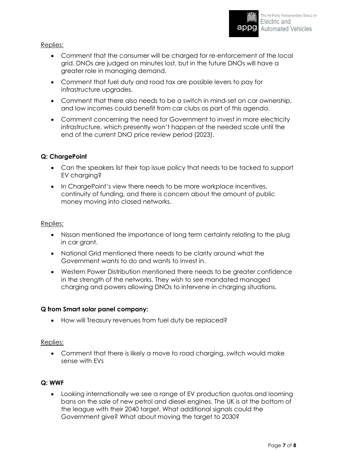Replies:

- Comment that the consumer will be charged for re-enforcement of the local grid. DNOs are judged on minutes lost, but in the future DNOs will have a greater role in managing demand.
- Comment that fuel duty and road tax are possible levers to pay for infrastructure upgrades.
- Comment that there also needs to be a switch in mind-set on car ownership, and low incomes could benefit from car clubs as part of this agenda.
- Comment concerning the need for Government to invest in more electricity infrastructure, which presently won't happen at the needed scale until the end of the current DNO price review period (2023).

## **Q: ChargePoint**

- Can the speakers list their top issue policy that needs to be tacked to support EV charging?
- In ChargePoint's view there needs to be more workplace incentives, continuity of funding, and there is concern about the amount of public money moving into closed networks.

#### Replies:

- Nissan mentioned the importance of long term certainty relating to the plug in car grant.
- National Grid mentioned there needs to be clarity around what the Government wants to do and wants to invest in.
- Western Power Distribution mentioned there needs to be greater confidence in the strength of the networks. They wish to see mandated managed charging and powers allowing DNOs to intervene in charging situations.

# **Q from Smart solar panel company:**

• How will Treasury revenues from fuel duty be replaced?

#### Replies:

 Comment that there is likely a move to road charging, switch would make sense with EVs

#### **Q: WWF**

 Looking internationally we see a range of EV production quotas and looming bans on the sale of new petrol and diesel engines. The UK is at the bottom of the league with their 2040 target. What additional signals could the Government give? What about moving the target to 2030?